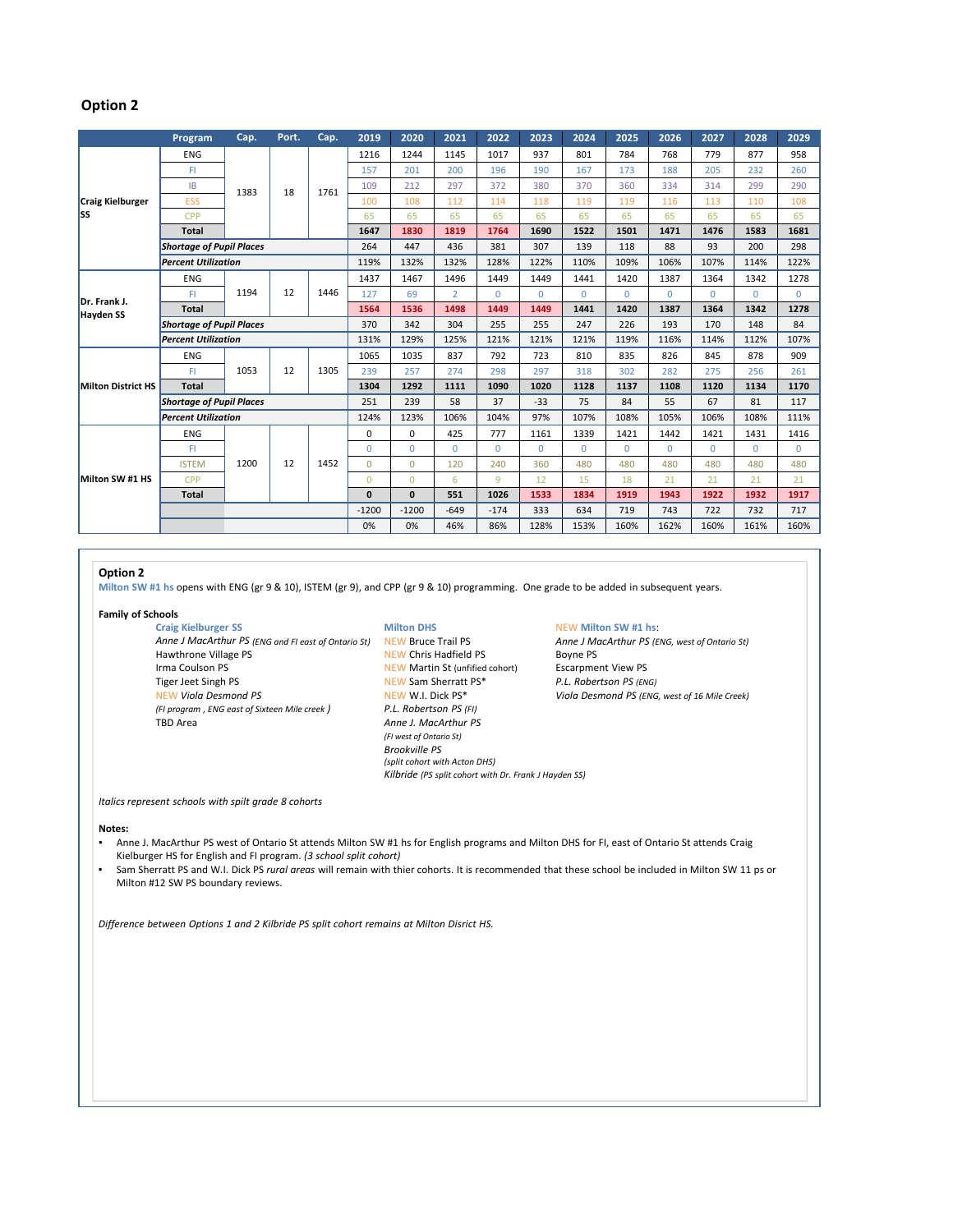## **Option 2**

|                                  | Program                         | Cap. | Port. | Cap. | 2019         | 2020         | 2021           | 2022         | 2023     | 2024     | 2025     | 2026     | 2027     | 2028     | 2029     |
|----------------------------------|---------------------------------|------|-------|------|--------------|--------------|----------------|--------------|----------|----------|----------|----------|----------|----------|----------|
| <b>Craig Kielburger</b><br>lss   | <b>ENG</b>                      | 1383 | 18    | 1761 | 1216         | 1244         | 1145           | 1017         | 937      | 801      | 784      | 768      | 779      | 877      | 958      |
|                                  | FL.                             |      |       |      | 157          | 201          | 200            | 196          | 190      | 167      | 173      | 188      | 205      | 232      | 260      |
|                                  | IB                              |      |       |      | 109          | 212          | 297            | 372          | 380      | 370      | 360      | 334      | 314      | 299      | 290      |
|                                  | <b>ESS</b>                      |      |       |      | 100          | 108          | 112            | 114          | 118      | 119      | 119      | 116      | 113      | 110      | 108      |
|                                  | <b>CPP</b>                      |      |       |      | 65           | 65           | 65             | 65           | 65       | 65       | 65       | 65       | 65       | 65       | 65       |
|                                  | <b>Total</b>                    |      |       |      | 1647         | 1830         | 1819           | 1764         | 1690     | 1522     | 1501     | 1471     | 1476     | 1583     | 1681     |
|                                  | <b>Shortage of Pupil Places</b> |      |       |      | 264          | 447          | 436            | 381          | 307      | 139      | 118      | 88       | 93       | 200      | 298      |
|                                  | <b>Percent Utilization</b>      |      |       |      | 119%         | 132%         | 132%           | 128%         | 122%     | 110%     | 109%     | 106%     | 107%     | 114%     | 122%     |
| Dr. Frank J.<br><b>Hayden SS</b> | <b>ENG</b>                      | 1194 | 12    | 1446 | 1437         | 1467         | 1496           | 1449         | 1449     | 1441     | 1420     | 1387     | 1364     | 1342     | 1278     |
|                                  | FI.                             |      |       |      | 127          | 69           | $\overline{2}$ | $\Omega$     | $\Omega$ | $\Omega$ | $\Omega$ | $\Omega$ | $\Omega$ | $\Omega$ | $\Omega$ |
|                                  | <b>Total</b>                    |      |       |      | 1564         | 1536         | 1498           | 1449         | 1449     | 1441     | 1420     | 1387     | 1364     | 1342     | 1278     |
|                                  | <b>Shortage of Pupil Places</b> |      |       |      | 370          | 342          | 304            | 255          | 255      | 247      | 226      | 193      | 170      | 148      | 84       |
|                                  | <b>Percent Utilization</b>      |      |       |      | 131%         | 129%         | 125%           | 121%         | 121%     | 121%     | 119%     | 116%     | 114%     | 112%     | 107%     |
| <b>Milton District HS</b>        | <b>ENG</b>                      | 1053 | 12    | 1305 | 1065         | 1035         | 837            | 792          | 723      | 810      | 835      | 826      | 845      | 878      | 909      |
|                                  | FI.                             |      |       |      | 239          | 257          | 274            | 298          | 297      | 318      | 302      | 282      | 275      | 256      | 261      |
|                                  | <b>Total</b>                    |      |       |      | 1304         | 1292         | 1111           | 1090         | 1020     | 1128     | 1137     | 1108     | 1120     | 1134     | 1170     |
|                                  | <b>Shortage of Pupil Places</b> |      |       |      | 251          | 239          | 58             | 37           | $-33$    | 75       | 84       | 55       | 67       | 81       | 117      |
|                                  | <b>Percent Utilization</b>      |      |       |      | 124%         | 123%         | 106%           | 104%         | 97%      | 107%     | 108%     | 105%     | 106%     | 108%     | 111%     |
| Milton SW #1 HS                  | <b>ENG</b>                      | 1200 | 12    | 1452 | 0            | $\Omega$     | 425            | 777          | 1161     | 1339     | 1421     | 1442     | 1421     | 1431     | 1416     |
|                                  | FI.                             |      |       |      | $\Omega$     | $\Omega$     | $\Omega$       | $\mathbf{0}$ | $\Omega$ | $\Omega$ | $\Omega$ | $\Omega$ | $\Omega$ | $\Omega$ | $\Omega$ |
|                                  | <b>ISTEM</b>                    |      |       |      | $\Omega$     | $\Omega$     | 120            | 240          | 360      | 480      | 480      | 480      | 480      | 480      | 480      |
|                                  | <b>CPP</b>                      |      |       |      | $\Omega$     | $\Omega$     | 6              | 9            | 12       | 15       | 18       | 21       | 21       | 21       | 21       |
|                                  | <b>Total</b>                    |      |       |      | $\mathbf{0}$ | $\mathbf{0}$ | 551            | 1026         | 1533     | 1834     | 1919     | 1943     | 1922     | 1932     | 1917     |
|                                  |                                 |      |       |      | $-1200$      | $-1200$      | $-649$         | $-174$       | 333      | 634      | 719      | 743      | 722      | 732      | 717      |
|                                  |                                 |      |       |      | 0%           | 0%           | 46%            | 86%          | 128%     | 153%     | 160%     | 162%     | 160%     | 161%     | 160%     |

## **Option 2**

**Milton SW #1 hs** opens with ENG (gr 9 & 10), ISTEM (gr 9), and CPP (gr 9 & 10) programming. One grade to be added in subsequent years.

### **Family of Schools**

Craig Kielburger SS<br> **Anne J MacArthur PS** (ENG and FI east of Ontario St) **NEW Bruce Trail PS NEW BANG** Anne J MacArthur PS (ENG, west of Ontario St) *Anne J MacArthur PS (ENG and FI east of Ontario St)* NEW Bruce Trail PS<br>Hawthrone Village PS<br>NEW Chris Hadfield PS Hawthrone Village PS **NEW Chris Hadfield PS** Boyne PS Irma Coulson PS **NEW Martin St (unfified cohort)** Escarpment View PS<br>
Tiger Jeet Singh PS **NEW Sam Sherratt PS** \* P.L. Robertson PS (ENG) Tiger Jeet Singh PS *P.C. <b>P.C. P.C. P.C. P.C. <i>Ref. P.C. P.C. P.C. P.C. P.C. P.C. P.C. P.C. P.C. P.C. P.C. P.C. P.C. P.C. P.C. P.C. P.C. P.C. P.C. P.C. P.C. P.C. P.C. P (FI program , ENG east of Sixteen Mile creek ) P.L. Robertson PS (FI)*

Anne *J. MacArthur PS (FI west of Ontario St) Brookville PS (split cohort with Acton DHS) Kilbride (PS split cohort with Dr. Frank J Hayden SS)*

 $Viola$  *Desmond PS* (ENG, west of 16 Mile Creek)

*Italics represent schools with spilt grade 8 cohorts*

## **Notes:**

- Anne J. MacArthur PS west of Ontario St attends Milton SW #1 hs for English programs and Milton DHS for FI, east of Ontario St attends Craig Kielburger HS for English and FI program. *(3 school split cohort)*
- Sam Sherratt PS and W.I. Dick PS *rural areas* will remain with thier cohorts. It is recommended that these school be included in Milton SW 11 ps or Milton #12 SW PS boundary reviews.

*Difference between Options 1 and 2 Kilbride PS split cohort remains at Milton Disrict HS.*